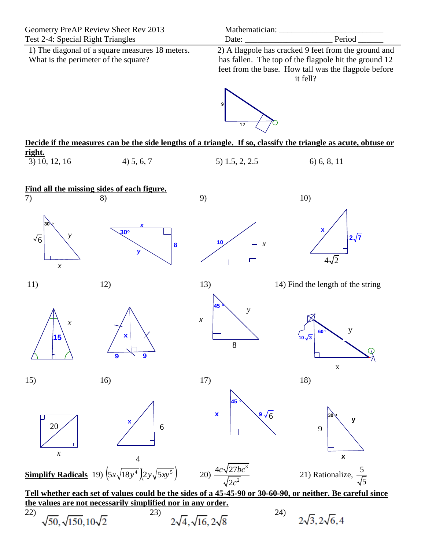